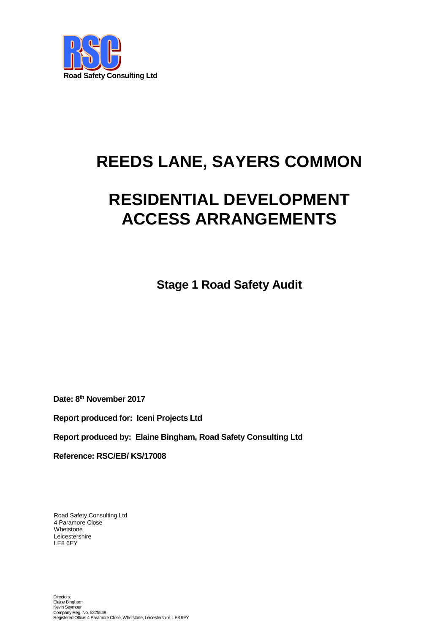

# **REEDS LANE, SAYERS COMMON**

# **RESIDENTIAL DEVELOPMENT ACCESS ARRANGEMENTS**

**Stage 1 Road Safety Audit**

**Date: 8 th November 2017**

**Report produced for: Iceni Projects Ltd**

**Report produced by: Elaine Bingham, Road Safety Consulting Ltd**

**Reference: RSC/EB/ KS/17008**

Road Safety Consulting Ltd 4 Paramore Close Whetstone Leicestershire LE8 6EY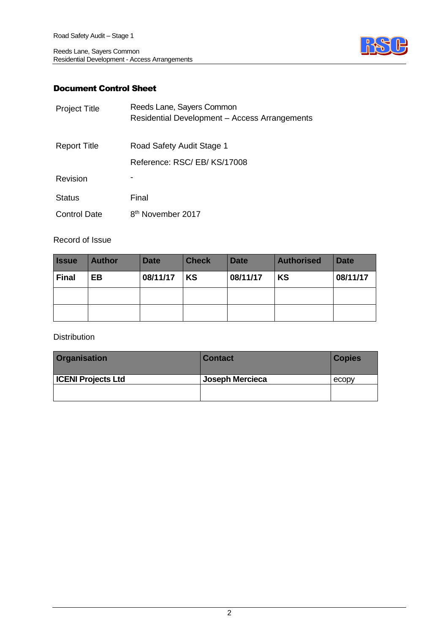

# Document Control Sheet

| <b>Project Title</b> | Reeds Lane, Sayers Common<br>Residential Development - Access Arrangements |
|----------------------|----------------------------------------------------------------------------|
| <b>Report Title</b>  | Road Safety Audit Stage 1                                                  |
|                      | Reference: RSC/EB/KS/17008                                                 |
| Revision             |                                                                            |
| <b>Status</b>        | Final                                                                      |
| <b>Control Date</b>  | 8 <sup>th</sup> November 2017                                              |

#### Record of Issue

| <b>Issue</b> | <b>Author</b> | <b>Date</b> | <b>Check</b> | <b>Date</b> | <b>Authorised</b> | <b>Date</b> |
|--------------|---------------|-------------|--------------|-------------|-------------------|-------------|
| <b>Final</b> | <b>EB</b>     | 08/11/17    | KS           | 08/11/17    | <b>KS</b>         | 08/11/17    |
|              |               |             |              |             |                   |             |
|              |               |             |              |             |                   |             |

Distribution

| <b>Organisation</b>       | <b>Contact</b>  | <b>Copies</b> |
|---------------------------|-----------------|---------------|
| <b>ICENI Projects Ltd</b> | Joseph Mercieca | ecopy         |
|                           |                 |               |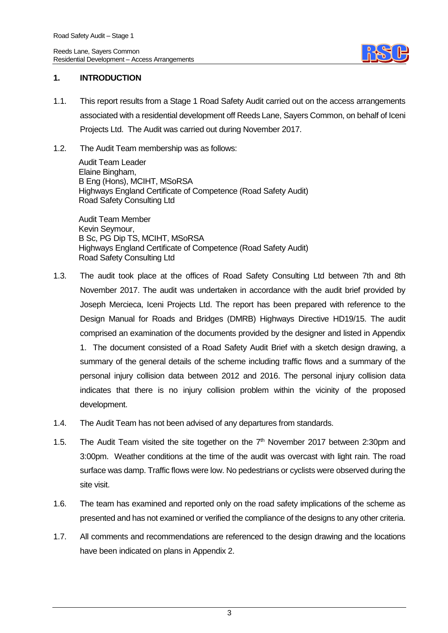

#### **1. INTRODUCTION**

- 1.1. This report results from a Stage 1 Road Safety Audit carried out on the access arrangements associated with a residential development off Reeds Lane, Sayers Common, on behalf of Iceni Projects Ltd. The Audit was carried out during November 2017.
- 1.2. The Audit Team membership was as follows:

Audit Team Leader Elaine Bingham, B Eng (Hons), MCIHT, MSoRSA Highways England Certificate of Competence (Road Safety Audit) Road Safety Consulting Ltd

Audit Team Member Kevin Seymour, B Sc, PG Dip TS, MCIHT, MSoRSA Highways England Certificate of Competence (Road Safety Audit) Road Safety Consulting Ltd

- 1.3. The audit took place at the offices of Road Safety Consulting Ltd between 7th and 8th November 2017. The audit was undertaken in accordance with the audit brief provided by Joseph Mercieca, Iceni Projects Ltd. The report has been prepared with reference to the Design Manual for Roads and Bridges (DMRB) Highways Directive HD19/15. The audit comprised an examination of the documents provided by the designer and listed in Appendix 1. The document consisted of a Road Safety Audit Brief with a sketch design drawing, a summary of the general details of the scheme including traffic flows and a summary of the personal injury collision data between 2012 and 2016. The personal injury collision data indicates that there is no injury collision problem within the vicinity of the proposed development.
- 1.4. The Audit Team has not been advised of any departures from standards.
- 1.5. The Audit Team visited the site together on the  $7<sup>th</sup>$  November 2017 between 2:30pm and 3:00pm. Weather conditions at the time of the audit was overcast with light rain. The road surface was damp. Traffic flows were low. No pedestrians or cyclists were observed during the site visit.
- 1.6. The team has examined and reported only on the road safety implications of the scheme as presented and has not examined or verified the compliance of the designs to any other criteria.
- 1.7. All comments and recommendations are referenced to the design drawing and the locations have been indicated on plans in Appendix 2.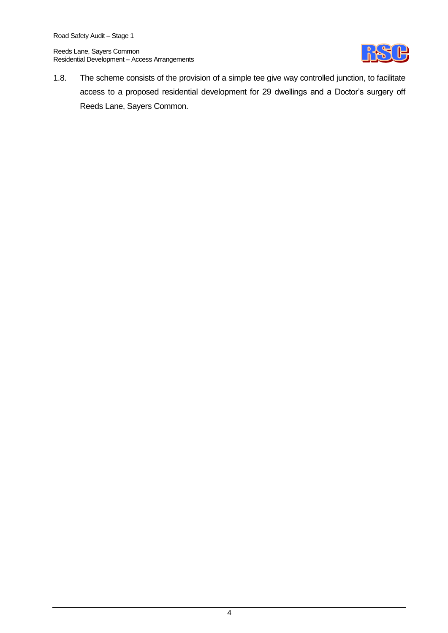

1.8. The scheme consists of the provision of a simple tee give way controlled junction, to facilitate access to a proposed residential development for 29 dwellings and a Doctor's surgery off Reeds Lane, Sayers Common.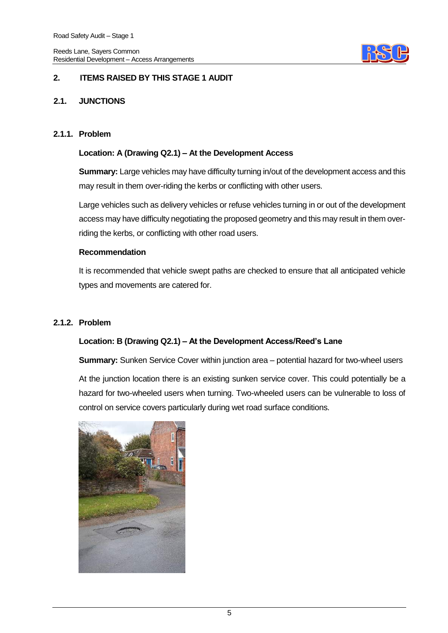

### **2. ITEMS RAISED BY THIS STAGE 1 AUDIT**

#### **2.1. JUNCTIONS**

#### **2.1.1. Problem**

#### **Location: A (Drawing Q2.1) – At the Development Access**

**Summary:** Large vehicles may have difficulty turning in/out of the development access and this may result in them over-riding the kerbs or conflicting with other users.

Large vehicles such as delivery vehicles or refuse vehicles turning in or out of the development access may have difficulty negotiating the proposed geometry and this may result in them overriding the kerbs, or conflicting with other road users.

#### **Recommendation**

It is recommended that vehicle swept paths are checked to ensure that all anticipated vehicle types and movements are catered for.

#### **2.1.2. Problem**

#### **Location: B (Drawing Q2.1) – At the Development Access/Reed's Lane**

**Summary:** Sunken Service Cover within junction area – potential hazard for two-wheel users

At the junction location there is an existing sunken service cover. This could potentially be a hazard for two-wheeled users when turning. Two-wheeled users can be vulnerable to loss of control on service covers particularly during wet road surface conditions.

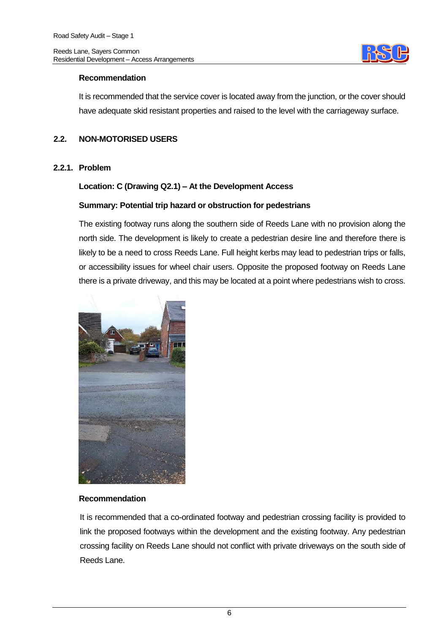

#### **Recommendation**

It is recommended that the service cover is located away from the junction, or the cover should have adequate skid resistant properties and raised to the level with the carriageway surface.

### **2.2. NON-MOTORISED USERS**

#### **2.2.1. Problem**

#### **Location: C (Drawing Q2.1) – At the Development Access**

#### **Summary: Potential trip hazard or obstruction for pedestrians**

The existing footway runs along the southern side of Reeds Lane with no provision along the north side. The development is likely to create a pedestrian desire line and therefore there is likely to be a need to cross Reeds Lane. Full height kerbs may lead to pedestrian trips or falls, or accessibility issues for wheel chair users. Opposite the proposed footway on Reeds Lane there is a private driveway, and this may be located at a point where pedestrians wish to cross.



### **Recommendation**

It is recommended that a co-ordinated footway and pedestrian crossing facility is provided to link the proposed footways within the development and the existing footway. Any pedestrian crossing facility on Reeds Lane should not conflict with private driveways on the south side of Reeds Lane.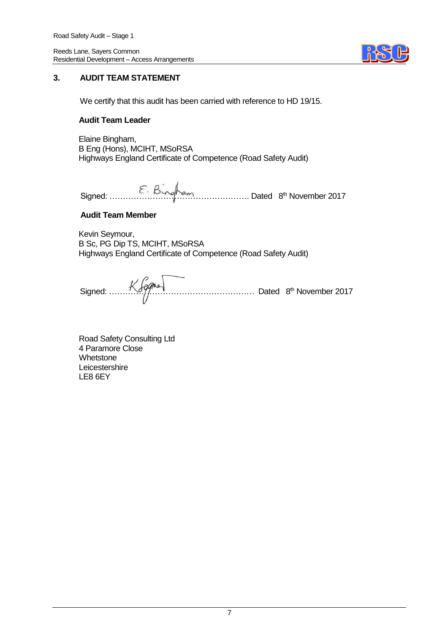

#### **3. AUDIT TEAM STATEMENT**

We certify that this audit has been carried with reference to HD 19/15.

#### **Audit Team Leader**

Elaine Bingham, B Eng (Hons), MCIHT, MSoRSA Highways England Certificate of Competence (Road Safety Audit)

Signed: ……………………………………………. Dated 8 th November 2017

#### **Audit Team Member**

Kevin Seymour, B Sc, PG Dip TS, MCIHT, MSoRSA Highways England Certificate of Competence (Road Safety Audit)

Signed: ……………………………………………… Dated 8 th November 2017

Road Safety Consulting Ltd 4 Paramore Close **Whetstone Leicestershire** LE8 6EY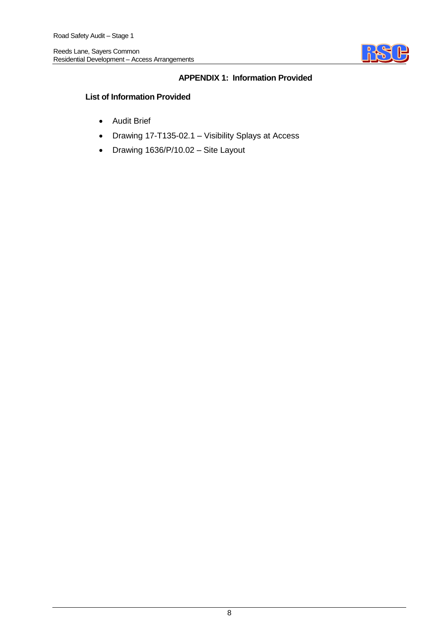

### **APPENDIX 1: Information Provided**

#### **List of Information Provided**

- Audit Brief
- Drawing 17-T135-02.1 Visibility Splays at Access
- Drawing 1636/P/10.02 Site Layout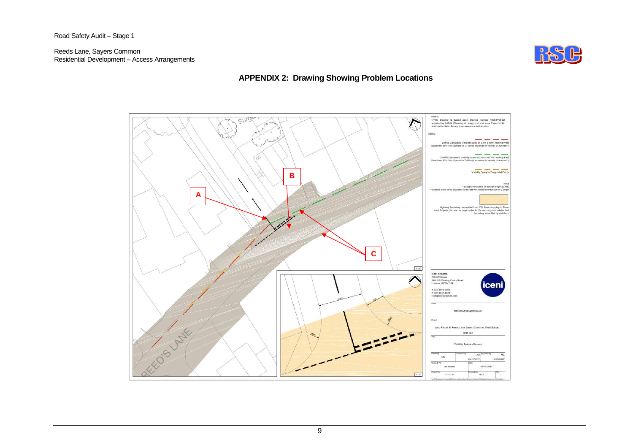

# **APPENDIX 2: Drawing Showing Problem Locations**

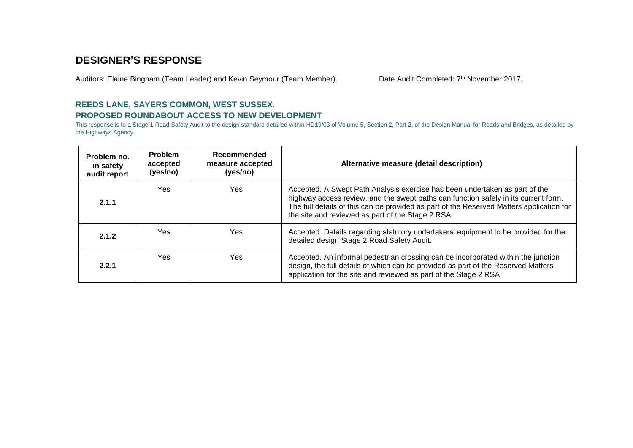# **DESIGNER'S RESPONSE**

Auditors: Elaine Bingham (Team Leader) and Kevin Seymour (Team Member).

Date Audit Completed: 7<sup>th</sup> November 2017.

# **REEDS LANE, SAYERS COMMON, WEST SUSSEX. PROPOSED ROUNDABOUT ACCESS TO NEW DEVELOPMENT**

This response is to a Stage 1 Road Safety Audit to the design standard detailed within HD19/03 of Volume 5, Section 2, Part 2, of the Design Manual for Roads and Bridges, as detailed by the Highways Agency.

| Problem no.<br>in safety<br>audit report | <b>Problem</b><br>accepted<br>(yes/no) | Recommended<br>measure accepted<br>(yes/no) | Alternative measure (detail description)                                                                                                                                                                                                                                                                            |
|------------------------------------------|----------------------------------------|---------------------------------------------|---------------------------------------------------------------------------------------------------------------------------------------------------------------------------------------------------------------------------------------------------------------------------------------------------------------------|
| 2.1.1                                    | Yes                                    | Yes.                                        | Accepted. A Swept Path Analysis exercise has been undertaken as part of the<br>highway access review, and the swept paths can function safely in its current form.<br>The full details of this can be provided as part of the Reserved Matters application for<br>the site and reviewed as part of the Stage 2 RSA. |
| 2.1.2                                    | Yes                                    | Yes                                         | Accepted. Details regarding statutory undertakers' equipment to be provided for the<br>detailed design Stage 2 Road Safety Audit.                                                                                                                                                                                   |
| 2.2.1                                    | Yes                                    | Yes                                         | Accepted. An informal pedestrian crossing can be incorporated within the junction<br>design, the full details of which can be provided as part of the Reserved Matters<br>application for the site and reviewed as part of the Stage 2 RSA                                                                          |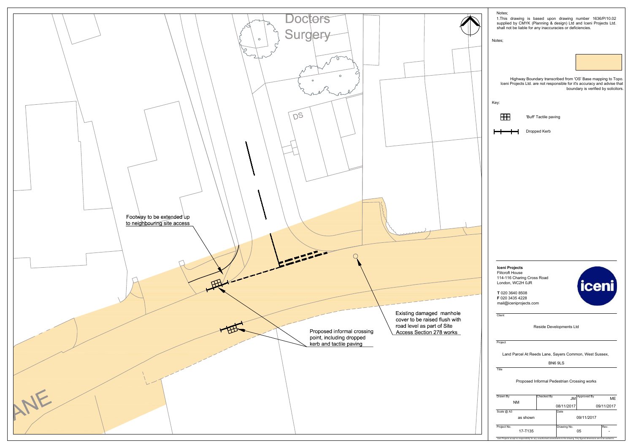Project No.



| Notes;                                          | 1. This drawing is based upon drawing number 1636/P/10.02<br>supplied by CMYK (Planning & design) Ltd and Iceni Projects Ltd.<br>shall not be liable for any inaccuracies or deficiencies. |                       |                         |                                             |            |
|-------------------------------------------------|--------------------------------------------------------------------------------------------------------------------------------------------------------------------------------------------|-----------------------|-------------------------|---------------------------------------------|------------|
| Notes;                                          |                                                                                                                                                                                            |                       |                         |                                             |            |
|                                                 |                                                                                                                                                                                            |                       |                         |                                             |            |
|                                                 | Highway Boundary transcribed from 'OS' Base mapping to Topo.<br>Iceni Projects Ltd. are not responsible for it's accuracy and advise that                                                  |                       |                         | boundary is verified by solicitors.         |            |
| Key:                                            |                                                                                                                                                                                            |                       |                         |                                             |            |
|                                                 |                                                                                                                                                                                            | 'Buff' Tactile paving |                         |                                             |            |
|                                                 |                                                                                                                                                                                            | Dropped Kerb          |                         |                                             |            |
|                                                 |                                                                                                                                                                                            |                       |                         |                                             |            |
|                                                 |                                                                                                                                                                                            |                       |                         |                                             |            |
|                                                 |                                                                                                                                                                                            |                       |                         |                                             |            |
|                                                 |                                                                                                                                                                                            |                       |                         |                                             |            |
|                                                 |                                                                                                                                                                                            |                       |                         |                                             |            |
|                                                 |                                                                                                                                                                                            |                       |                         |                                             |            |
|                                                 |                                                                                                                                                                                            |                       |                         |                                             |            |
|                                                 |                                                                                                                                                                                            |                       |                         |                                             |            |
|                                                 |                                                                                                                                                                                            |                       |                         |                                             |            |
|                                                 |                                                                                                                                                                                            |                       |                         |                                             |            |
| <b>Iceni Projects</b><br><b>Flitcroft House</b> | 114-116 Charing Cross Road                                                                                                                                                                 |                       |                         |                                             |            |
|                                                 | London, WC2H 0JR<br>T 020 3640 8508                                                                                                                                                        |                       |                         | iceni                                       |            |
|                                                 | F 020 3435 4228<br>mail@iceniprojects.com                                                                                                                                                  |                       |                         |                                             |            |
| Client                                          |                                                                                                                                                                                            |                       |                         |                                             |            |
|                                                 |                                                                                                                                                                                            |                       | Reside Developments Ltd |                                             |            |
| Project                                         |                                                                                                                                                                                            |                       |                         |                                             |            |
|                                                 | Land Parcel At Reeds Lane, Sayers Common, West Sussex,                                                                                                                                     |                       |                         |                                             |            |
| Title                                           |                                                                                                                                                                                            |                       | BN6 9LS                 |                                             |            |
|                                                 |                                                                                                                                                                                            |                       |                         | Proposed Informal Pedestrian Crossing works |            |
|                                                 |                                                                                                                                                                                            |                       |                         |                                             |            |
| Drawn By                                        |                                                                                                                                                                                            | Checked By            | JM                      | Approved By                                 | МE         |
| Scale @ A3                                      | <b>NM</b>                                                                                                                                                                                  |                       | 08/11/2017<br>Date      |                                             | 09/11/2017 |

 $\frac{1}{2}$  No.  $\frac{1}{2}$ 

Iceni Projects accept no responsibility for

17-T135